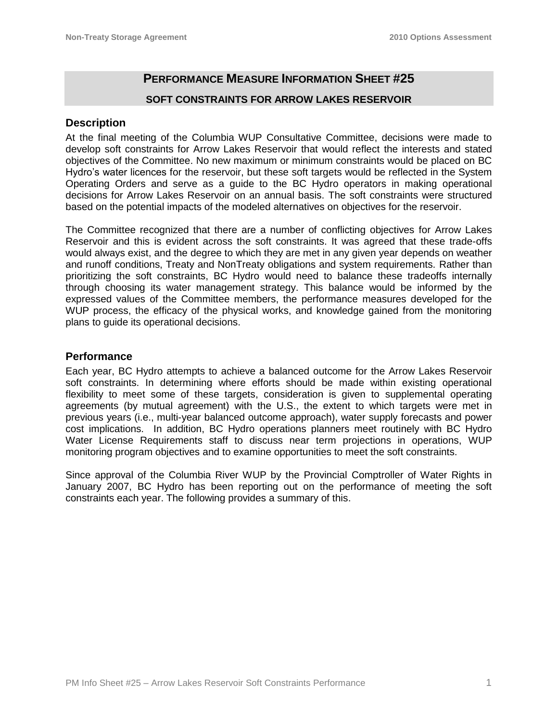# **PERFORMANCE MEASURE INFORMATION SHEET #25**

### **SOFT CONSTRAINTS FOR ARROW LAKES RESERVOIR**

### **Description**

At the final meeting of the Columbia WUP Consultative Committee, decisions were made to develop soft constraints for Arrow Lakes Reservoir that would reflect the interests and stated objectives of the Committee. No new maximum or minimum constraints would be placed on BC Hydro's water licences for the reservoir, but these soft targets would be reflected in the System Operating Orders and serve as a guide to the BC Hydro operators in making operational decisions for Arrow Lakes Reservoir on an annual basis. The soft constraints were structured based on the potential impacts of the modeled alternatives on objectives for the reservoir.

The Committee recognized that there are a number of conflicting objectives for Arrow Lakes Reservoir and this is evident across the soft constraints. It was agreed that these trade-offs would always exist, and the degree to which they are met in any given year depends on weather and runoff conditions, Treaty and NonTreaty obligations and system requirements. Rather than prioritizing the soft constraints, BC Hydro would need to balance these tradeoffs internally through choosing its water management strategy. This balance would be informed by the expressed values of the Committee members, the performance measures developed for the WUP process, the efficacy of the physical works, and knowledge gained from the monitoring plans to guide its operational decisions.

## **Performance**

Each year, BC Hydro attempts to achieve a balanced outcome for the Arrow Lakes Reservoir soft constraints. In determining where efforts should be made within existing operational flexibility to meet some of these targets, consideration is given to supplemental operating agreements (by mutual agreement) with the U.S., the extent to which targets were met in previous years (i.e., multi-year balanced outcome approach), water supply forecasts and power cost implications. In addition, BC Hydro operations planners meet routinely with BC Hydro Water License Requirements staff to discuss near term projections in operations, WUP monitoring program objectives and to examine opportunities to meet the soft constraints.

Since approval of the Columbia River WUP by the Provincial Comptroller of Water Rights in January 2007, BC Hydro has been reporting out on the performance of meeting the soft constraints each year. The following provides a summary of this.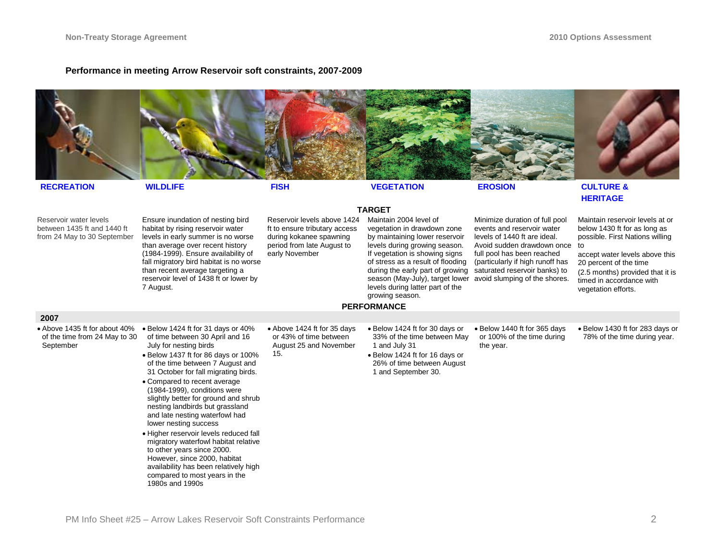#### **Performance in meeting Arrow Reservoir soft constraints, 2007-2009**



**RECREATION WILDLIFE FISH VEGETATION EROSION CULTURE &** 

**HERITAGE**

Reservoir water levels between 1435 ft and 1440 ft from 24 May to 30 September

Ensure inundation of nesting bird habitat by rising reservoir water levels in early summer is no worse than average over recent history (1984-1999). Ensure availability of fall migratory bird habitat is no worse than recent average targeting a reservoir level of 1438 ft or lower by 7 August.

Reservoir levels above 1424 ft to ensure tributary access during kokanee spawning period from late August to early November

#### **TARGET**

**PERFORMANCE**

Maintain 2004 level of vegetation in drawdown zone by maintaining lower reservoir levels during growing season. If vegetation is showing signs of stress as a result of flooding during the early part of growing season (May-July), target lower avoid slumping of the shores. levels during latter part of the growing season.

Minimize duration of full pool events and reservoir water levels of 1440 ft are ideal. Avoid sudden drawdown once to full pool has been reached (particularly if high runoff has saturated reservoir banks) to

Maintain reservoir levels at or below 1430 ft for as long as possible. First Nations willing

accept water levels above this 20 percent of the time (2.5 months) provided that it is timed in accordance with vegetation efforts.

#### **2007**

 Above 1435 ft for about 40% of the time from 24 May to 30 September

 Below 1424 ft for 31 days or 40% of time between 30 April and 16 July for nesting birds 15.

 Below 1437 ft for 86 days or 100% of the time between 7 August and 31 October for fall migrating birds.

 Compared to recent average (1984-1999), conditions were slightly better for ground and shrub nesting landbirds but grassland and late nesting waterfowl had lower nesting success

• Higher reservoir levels reduced fall migratory waterfowl habitat relative to other years since 2000. However, since 2000, habitat availability has been relatively high compared to most years in the 1980s and 1990s

- Above 1424 ft for 35 days or 43% of time between August 25 and November
	- Below 1424 ft for 30 days or 33% of the time between May 1 and July 31

 Below 1424 ft for 16 days or 26% of time between August 1 and September 30.

 Below 1440 ft for 365 days or 100% of the time during the year.

 Below 1430 ft for 283 days or 78% of the time during year.